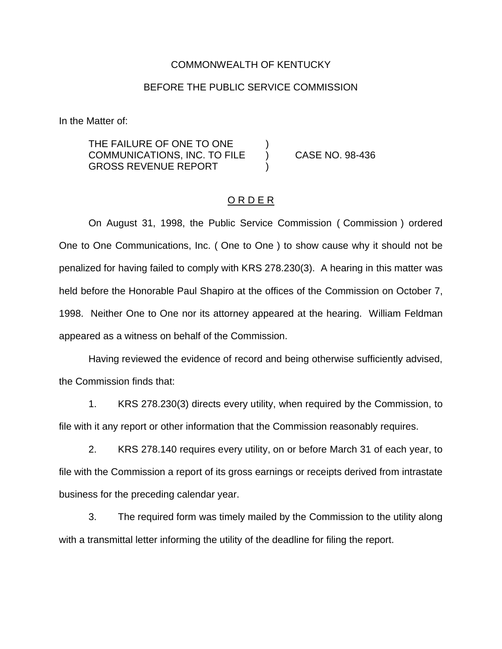## COMMONWEALTH OF KENTUCKY

## BEFORE THE PUBLIC SERVICE COMMISSION

In the Matter of:

THE FAILURE OF ONE TO ONE COMMUNICATIONS, INC. TO FILE ) CASE NO. 98-436 **GROSS REVENUE REPORT** 

## O R D E R

On August 31, 1998, the Public Service Commission ( Commission ) ordered One to One Communications, Inc. ( One to One ) to show cause why it should not be penalized for having failed to comply with KRS 278.230(3). A hearing in this matter was held before the Honorable Paul Shapiro at the offices of the Commission on October 7, 1998. Neither One to One nor its attorney appeared at the hearing. William Feldman appeared as a witness on behalf of the Commission.

Having reviewed the evidence of record and being otherwise sufficiently advised, the Commission finds that:

1. KRS 278.230(3) directs every utility, when required by the Commission, to file with it any report or other information that the Commission reasonably requires.

2. KRS 278.140 requires every utility, on or before March 31 of each year, to file with the Commission a report of its gross earnings or receipts derived from intrastate business for the preceding calendar year.

3. The required form was timely mailed by the Commission to the utility along with a transmittal letter informing the utility of the deadline for filing the report.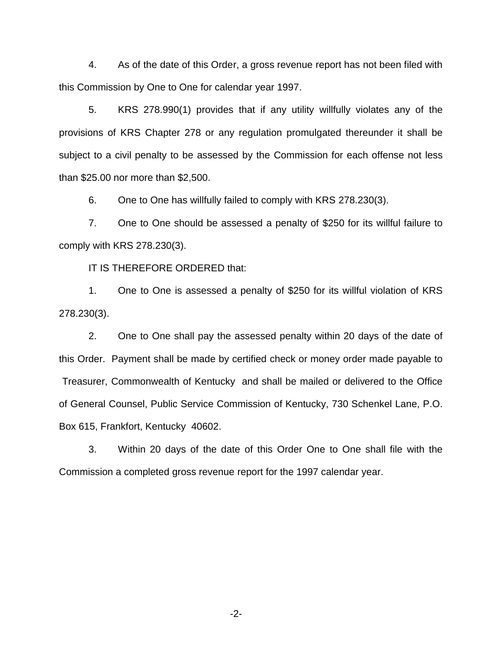4. As of the date of this Order, a gross revenue report has not been filed with this Commission by One to One for calendar year 1997.

5. KRS 278.990(1) provides that if any utility willfully violates any of the provisions of KRS Chapter 278 or any regulation promulgated thereunder it shall be subject to a civil penalty to be assessed by the Commission for each offense not less than \$25.00 nor more than \$2,500.

6. One to One has willfully failed to comply with KRS 278.230(3).

7. One to One should be assessed a penalty of \$250 for its willful failure to comply with KRS 278.230(3).

IT IS THEREFORE ORDERED that:

1. One to One is assessed a penalty of \$250 for its willful violation of KRS 278.230(3).

2. One to One shall pay the assessed penalty within 20 days of the date of this Order. Payment shall be made by certified check or money order made payable to Treasurer, Commonwealth of Kentucky and shall be mailed or delivered to the Office of General Counsel, Public Service Commission of Kentucky, 730 Schenkel Lane, P.O. Box 615, Frankfort, Kentucky 40602.

3. Within 20 days of the date of this Order One to One shall file with the Commission a completed gross revenue report for the 1997 calendar year.

-2-